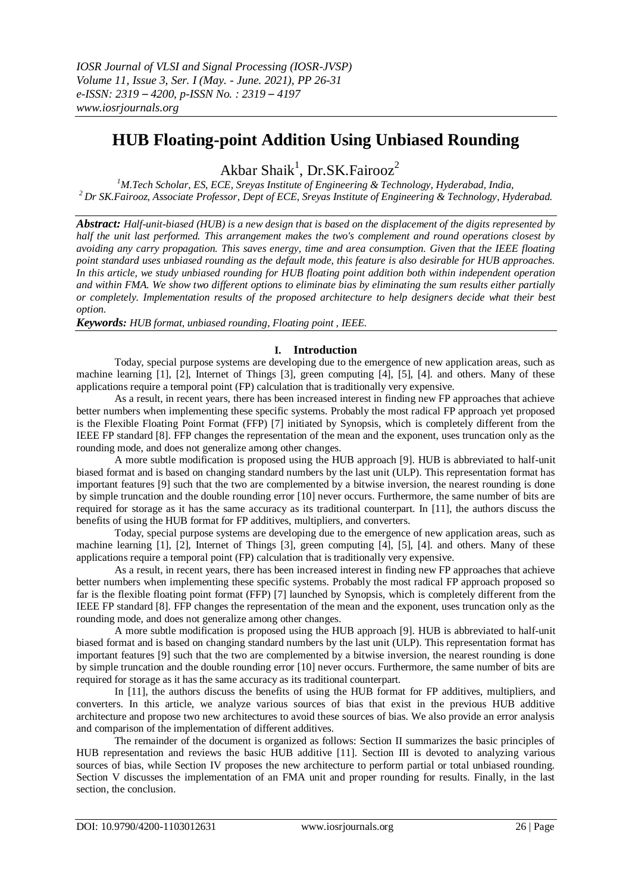# **HUB Floating-point Addition Using Unbiased Rounding**

Akbar Shaik<sup>1</sup>, Dr.SK.Fairooz<sup>2</sup>

*<sup>1</sup>M.Tech Scholar, ES, ECE, Sreyas Institute of Engineering & Technology, Hyderabad, India, <sup>2</sup>Dr SK.Fairooz, Associate Professor, Dept of ECE, Sreyas Institute of Engineering & Technology, Hyderabad.*

*Abstract: Half-unit-biased (HUB) is a new design that is based on the displacement of the digits represented by half the unit last performed. This arrangement makes the two's complement and round operations closest by avoiding any carry propagation. This saves energy, time and area consumption. Given that the IEEE floating point standard uses unbiased rounding as the default mode, this feature is also desirable for HUB approaches. In this article, we study unbiased rounding for HUB floating point addition both within independent operation and within FMA. We show two different options to eliminate bias by eliminating the sum results either partially or completely. Implementation results of the proposed architecture to help designers decide what their best option.*

*Keywords: HUB format, unbiased rounding, Floating point , IEEE.*

## **I. Introduction**

Today, special purpose systems are developing due to the emergence of new application areas, such as machine learning [1], [2], Internet of Things [3], green computing [4], [5], [4]. and others. Many of these applications require a temporal point (FP) calculation that is traditionally very expensive.

As a result, in recent years, there has been increased interest in finding new FP approaches that achieve better numbers when implementing these specific systems. Probably the most radical FP approach yet proposed is the Flexible Floating Point Format (FFP) [7] initiated by Synopsis, which is completely different from the IEEE FP standard [8]. FFP changes the representation of the mean and the exponent, uses truncation only as the rounding mode, and does not generalize among other changes.

A more subtle modification is proposed using the HUB approach [9]. HUB is abbreviated to half-unit biased format and is based on changing standard numbers by the last unit (ULP). This representation format has important features [9] such that the two are complemented by a bitwise inversion, the nearest rounding is done by simple truncation and the double rounding error [10] never occurs. Furthermore, the same number of bits are required for storage as it has the same accuracy as its traditional counterpart. In [11], the authors discuss the benefits of using the HUB format for FP additives, multipliers, and converters.

Today, special purpose systems are developing due to the emergence of new application areas, such as machine learning [1], [2], Internet of Things [3], green computing [4], [5], [4]. and others. Many of these applications require a temporal point (FP) calculation that is traditionally very expensive.

As a result, in recent years, there has been increased interest in finding new FP approaches that achieve better numbers when implementing these specific systems. Probably the most radical FP approach proposed so far is the flexible floating point format (FFP) [7] launched by Synopsis, which is completely different from the IEEE FP standard [8]. FFP changes the representation of the mean and the exponent, uses truncation only as the rounding mode, and does not generalize among other changes.

A more subtle modification is proposed using the HUB approach [9]. HUB is abbreviated to half-unit biased format and is based on changing standard numbers by the last unit (ULP). This representation format has important features [9] such that the two are complemented by a bitwise inversion, the nearest rounding is done by simple truncation and the double rounding error [10] never occurs. Furthermore, the same number of bits are required for storage as it has the same accuracy as its traditional counterpart.

In [11], the authors discuss the benefits of using the HUB format for FP additives, multipliers, and converters. In this article, we analyze various sources of bias that exist in the previous HUB additive architecture and propose two new architectures to avoid these sources of bias. We also provide an error analysis and comparison of the implementation of different additives.

The remainder of the document is organized as follows: Section II summarizes the basic principles of HUB representation and reviews the basic HUB additive [11]. Section III is devoted to analyzing various sources of bias, while Section IV proposes the new architecture to perform partial or total unbiased rounding. Section V discusses the implementation of an FMA unit and proper rounding for results. Finally, in the last section, the conclusion.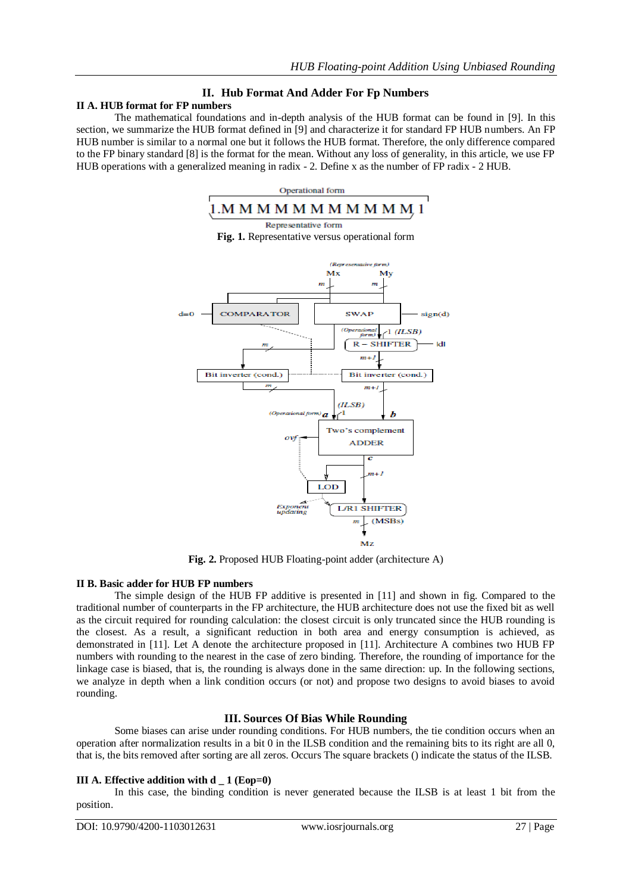# **II. Hub Format And Adder For Fp Numbers**

# **II A. HUB format for FP numbers**

The mathematical foundations and in-depth analysis of the HUB format can be found in [9]. In this section, we summarize the HUB format defined in [9] and characterize it for standard FP HUB numbers. An FP HUB number is similar to a normal one but it follows the HUB format. Therefore, the only difference compared to the FP binary standard [8] is the format for the mean. Without any loss of generality, in this article, we use FP HUB operations with a generalized meaning in radix - 2. Define x as the number of FP radix - 2 HUB.



**Fig. 2.** Proposed HUB Floating-point adder (architecture A)

#### **II B. Basic adder for HUB FP numbers**

The simple design of the HUB FP additive is presented in [11] and shown in fig. Compared to the traditional number of counterparts in the FP architecture, the HUB architecture does not use the fixed bit as well as the circuit required for rounding calculation: the closest circuit is only truncated since the HUB rounding is the closest. As a result, a significant reduction in both area and energy consumption is achieved, as demonstrated in [11]. Let A denote the architecture proposed in [11]. Architecture A combines two HUB FP numbers with rounding to the nearest in the case of zero binding. Therefore, the rounding of importance for the linkage case is biased, that is, the rounding is always done in the same direction: up. In the following sections, we analyze in depth when a link condition occurs (or not) and propose two designs to avoid biases to avoid rounding.

## **III. Sources Of Bias While Rounding**

Some biases can arise under rounding conditions. For HUB numbers, the tie condition occurs when an operation after normalization results in a bit 0 in the ILSB condition and the remaining bits to its right are all 0, that is, the bits removed after sorting are all zeros. Occurs The square brackets () indicate the status of the ILSB.

## **III A. Effective addition with d \_ 1 (Eop=0)**

In this case, the binding condition is never generated because the ILSB is at least 1 bit from the position.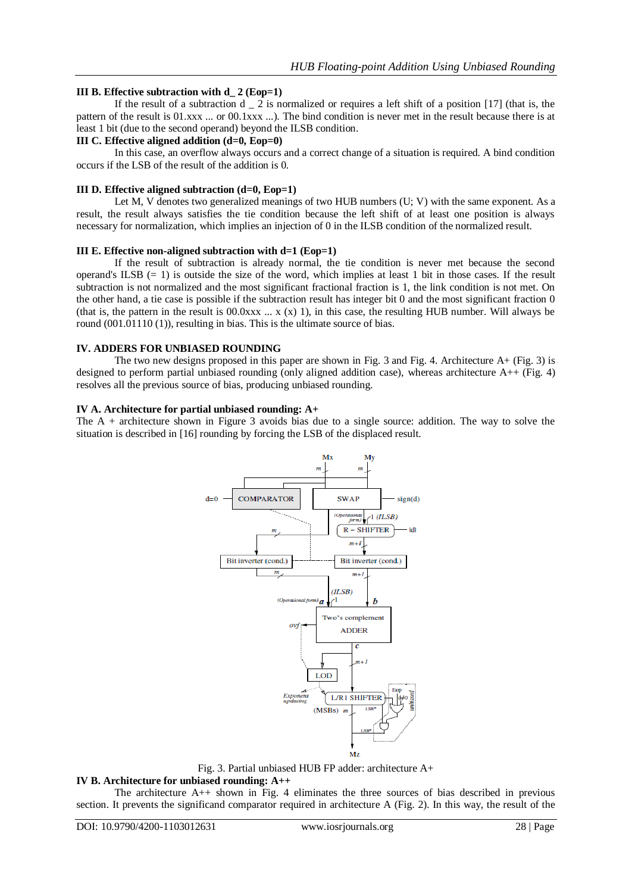### **III B. Effective subtraction with d\_ 2 (Eop=1)**

If the result of a subtraction  $d \nightharpoonup 2$  is normalized or requires a left shift of a position [17] (that is, the pattern of the result is 01.xxx ... or 00.1xxx ...). The bind condition is never met in the result because there is at least 1 bit (due to the second operand) beyond the ILSB condition.

#### **III C. Effective aligned addition (d=0, Eop=0)**

In this case, an overflow always occurs and a correct change of a situation is required. A bind condition occurs if the LSB of the result of the addition is 0.

#### **III D. Effective aligned subtraction (d=0, Eop=1)**

Let M, V denotes two generalized meanings of two HUB numbers (U; V) with the same exponent. As a result, the result always satisfies the tie condition because the left shift of at least one position is always necessary for normalization, which implies an injection of 0 in the ILSB condition of the normalized result.

#### **III E. Effective non-aligned subtraction with d=1 (Eop=1)**

If the result of subtraction is already normal, the tie condition is never met because the second operand's ILSB  $(= 1)$  is outside the size of the word, which implies at least 1 bit in those cases. If the result subtraction is not normalized and the most significant fractional fraction is 1, the link condition is not met. On the other hand, a tie case is possible if the subtraction result has integer bit 0 and the most significant fraction 0 (that is, the pattern in the result is 00.0xxx  $\ldots$  x (x) 1), in this case, the resulting HUB number. Will always be round (001.01110 (1)), resulting in bias. This is the ultimate source of bias.

#### **IV. ADDERS FOR UNBIASED ROUNDING**

The two new designs proposed in this paper are shown in Fig. 3 and Fig. 4. Architecture A+ (Fig. 3) is designed to perform partial unbiased rounding (only aligned addition case), whereas architecture  $A++$  (Fig. 4) resolves all the previous source of bias, producing unbiased rounding.

#### **IV A. Architecture for partial unbiased rounding: A+**

The A + architecture shown in Figure 3 avoids bias due to a single source: addition. The way to solve the situation is described in [16] rounding by forcing the LSB of the displaced result.



Fig. 3. Partial unbiased HUB FP adder: architecture A+

#### **IV B. Architecture for unbiased rounding: A++**

The architecture A++ shown in Fig. 4 eliminates the three sources of bias described in previous section. It prevents the significand comparator required in architecture A (Fig. 2). In this way, the result of the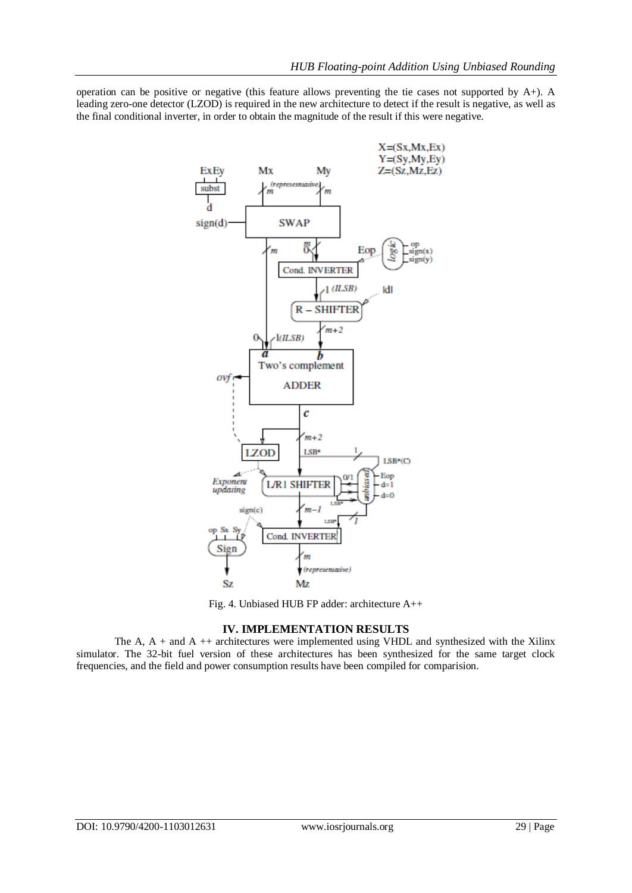operation can be positive or negative (this feature allows preventing the tie cases not supported by  $A+$ ). A leading zero-one detector (LZOD) is required in the new architecture to detect if the result is negative, as well as the final conditional inverter, in order to obtain the magnitude of the result if this were negative.



Fig. 4. Unbiased HUB FP adder: architecture A++

## **IV. IMPLEMENTATION RESULTS**

The A,  $A +$  and  $A +$ + architectures were implemented using VHDL and synthesized with the Xilinx simulator. The 32-bit fuel version of these architectures has been synthesized for the same target clock frequencies, and the field and power consumption results have been compiled for comparision.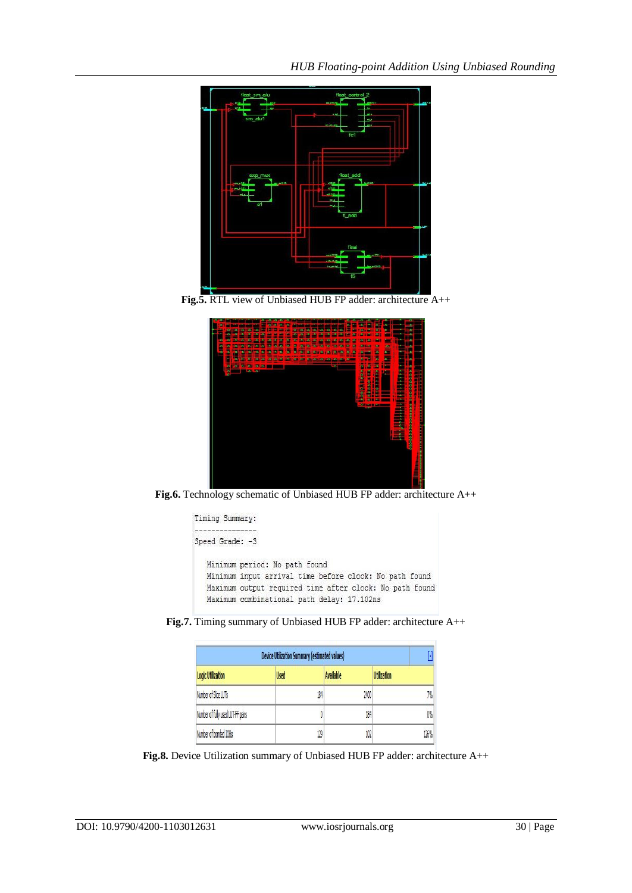

**Fig.5.** RTL view of Unbiased HUB FP adder: architecture A++



**Fig.6.** Technology schematic of Unbiased HUB FP adder: architecture A++



**Fig.7.** Timing summary of Unbiased HUB FP adder: architecture A++

| <b>Device Utilization Summary (estimated values)</b> |             |                  |                    |
|------------------------------------------------------|-------------|------------------|--------------------|
| <b>Logic Utilization</b>                             | <b>Used</b> | <b>Available</b> | <b>Utilization</b> |
| Number of Slice LUTs                                 | 184         | 2400             | 7%                 |
| Number of fully used LUT-FF pairs                    |             | 184              | 0%                 |
| Number of bonded IOBs                                | 129         | 102              | 126%               |

**Fig.8.** Device Utilization summary of Unbiased HUB FP adder: architecture A++